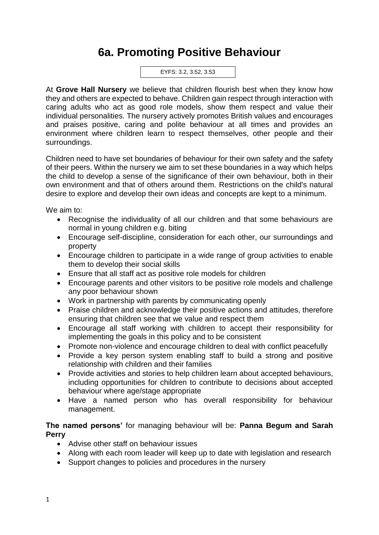# **6a. Promoting Positive Behaviour**

EYFS: 3.2, 3.52, 3.53

At **Grove Hall Nursery** we believe that children flourish best when they know how they and others are expected to behave. Children gain respect through interaction with caring adults who act as good role models, show them respect and value their individual personalities. The nursery actively promotes British values and encourages and praises positive, caring and polite behaviour at all times and provides an environment where children learn to respect themselves, other people and their surroundings.

Children need to have set boundaries of behaviour for their own safety and the safety of their peers. Within the nursery we aim to set these boundaries in a way which helps the child to develop a sense of the significance of their own behaviour, both in their own environment and that of others around them. Restrictions on the child's natural desire to explore and develop their own ideas and concepts are kept to a minimum.

We aim to:

- Recognise the individuality of all our children and that some behaviours are normal in young children e.g. biting
- Encourage self-discipline, consideration for each other, our surroundings and property
- Encourage children to participate in a wide range of group activities to enable them to develop their social skills
- Ensure that all staff act as positive role models for children
- Encourage parents and other visitors to be positive role models and challenge any poor behaviour shown
- Work in partnership with parents by communicating openly
- Praise children and acknowledge their positive actions and attitudes, therefore ensuring that children see that we value and respect them
- Encourage all staff working with children to accept their responsibility for implementing the goals in this policy and to be consistent
- Promote non-violence and encourage children to deal with conflict peacefully
- Provide a key person system enabling staff to build a strong and positive relationship with children and their families
- Provide activities and stories to help children learn about accepted behaviours, including opportunities for children to contribute to decisions about accepted behaviour where age/stage appropriate
- Have a named person who has overall responsibility for behaviour management.

#### **The named persons'** for managing behaviour will be: **Panna Begum and Sarah Perry**

- Advise other staff on behaviour issues
- Along with each room leader will keep up to date with legislation and research
- Support changes to policies and procedures in the nursery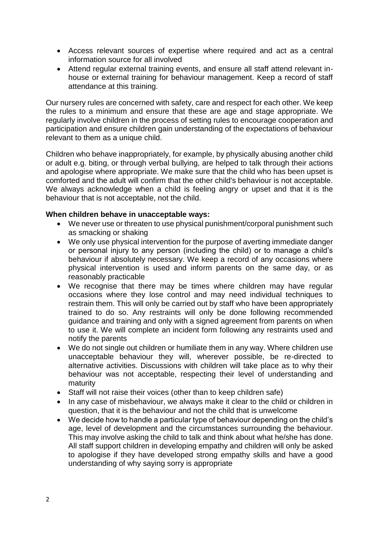- Access relevant sources of expertise where required and act as a central information source for all involved
- Attend regular external training events, and ensure all staff attend relevant inhouse or external training for behaviour management. Keep a record of staff attendance at this training.

Our nursery rules are concerned with safety, care and respect for each other. We keep the rules to a minimum and ensure that these are age and stage appropriate. We regularly involve children in the process of setting rules to encourage cooperation and participation and ensure children gain understanding of the expectations of behaviour relevant to them as a unique child.

Children who behave inappropriately, for example, by physically abusing another child or adult e.g. biting, or through verbal bullying, are helped to talk through their actions and apologise where appropriate. We make sure that the child who has been upset is comforted and the adult will confirm that the other child's behaviour is not acceptable. We always acknowledge when a child is feeling angry or upset and that it is the behaviour that is not acceptable, not the child.

### **When children behave in unacceptable ways:**

- We never use or threaten to use physical punishment/corporal punishment such as smacking or shaking
- We only use physical intervention for the purpose of averting immediate danger or personal injury to any person (including the child) or to manage a child's behaviour if absolutely necessary. We keep a record of any occasions where physical intervention is used and inform parents on the same day, or as reasonably practicable
- We recognise that there may be times where children may have regular occasions where they lose control and may need individual techniques to restrain them. This will only be carried out by staff who have been appropriately trained to do so. Any restraints will only be done following recommended guidance and training and only with a signed agreement from parents on when to use it. We will complete an incident form following any restraints used and notify the parents
- We do not single out children or humiliate them in any way. Where children use unacceptable behaviour they will, wherever possible, be re-directed to alternative activities. Discussions with children will take place as to why their behaviour was not acceptable, respecting their level of understanding and maturity
- Staff will not raise their voices (other than to keep children safe)
- In any case of misbehaviour, we always make it clear to the child or children in question, that it is the behaviour and not the child that is unwelcome
- We decide how to handle a particular type of behaviour depending on the child's age, level of development and the circumstances surrounding the behaviour. This may involve asking the child to talk and think about what he/she has done. All staff support children in developing empathy and children will only be asked to apologise if they have developed strong empathy skills and have a good understanding of why saying sorry is appropriate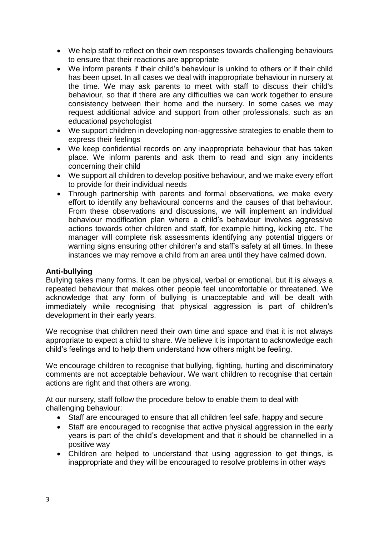- We help staff to reflect on their own responses towards challenging behaviours to ensure that their reactions are appropriate
- We inform parents if their child's behaviour is unkind to others or if their child has been upset. In all cases we deal with inappropriate behaviour in nursery at the time. We may ask parents to meet with staff to discuss their child's behaviour, so that if there are any difficulties we can work together to ensure consistency between their home and the nursery. In some cases we may request additional advice and support from other professionals, such as an educational psychologist
- We support children in developing non-aggressive strategies to enable them to express their feelings
- We keep confidential records on any inappropriate behaviour that has taken place. We inform parents and ask them to read and sign any incidents concerning their child
- We support all children to develop positive behaviour, and we make every effort to provide for their individual needs
- Through partnership with parents and formal observations, we make every effort to identify any behavioural concerns and the causes of that behaviour. From these observations and discussions, we will implement an individual behaviour modification plan where a child's behaviour involves aggressive actions towards other children and staff, for example hitting, kicking etc. The manager will complete risk assessments identifying any potential triggers or warning signs ensuring other children's and staff's safety at all times. In these instances we may remove a child from an area until they have calmed down.

#### **Anti-bullying**

Bullying takes many forms. It can be physical, verbal or emotional, but it is always a repeated behaviour that makes other people feel uncomfortable or threatened. We acknowledge that any form of bullying is unacceptable and will be dealt with immediately while recognising that physical aggression is part of children's development in their early years.

We recognise that children need their own time and space and that it is not always appropriate to expect a child to share. We believe it is important to acknowledge each child's feelings and to help them understand how others might be feeling.

We encourage children to recognise that bullying, fighting, hurting and discriminatory comments are not acceptable behaviour. We want children to recognise that certain actions are right and that others are wrong.

At our nursery, staff follow the procedure below to enable them to deal with challenging behaviour:

- Staff are encouraged to ensure that all children feel safe, happy and secure
- Staff are encouraged to recognise that active physical aggression in the early years is part of the child's development and that it should be channelled in a positive way
- Children are helped to understand that using aggression to get things, is inappropriate and they will be encouraged to resolve problems in other ways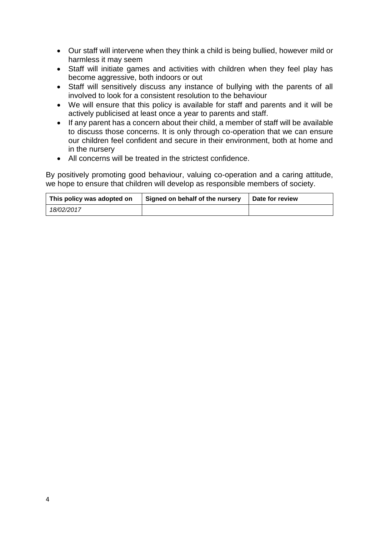- Our staff will intervene when they think a child is being bullied, however mild or harmless it may seem
- Staff will initiate games and activities with children when they feel play has become aggressive, both indoors or out
- Staff will sensitively discuss any instance of bullying with the parents of all involved to look for a consistent resolution to the behaviour
- We will ensure that this policy is available for staff and parents and it will be actively publicised at least once a year to parents and staff.
- If any parent has a concern about their child, a member of staff will be available to discuss those concerns. It is only through co-operation that we can ensure our children feel confident and secure in their environment, both at home and in the nursery
- All concerns will be treated in the strictest confidence.

By positively promoting good behaviour, valuing co-operation and a caring attitude, we hope to ensure that children will develop as responsible members of society.

| This policy was adopted on | Signed on behalf of the nursery | Date for review |
|----------------------------|---------------------------------|-----------------|
| 18/02/2017                 |                                 |                 |